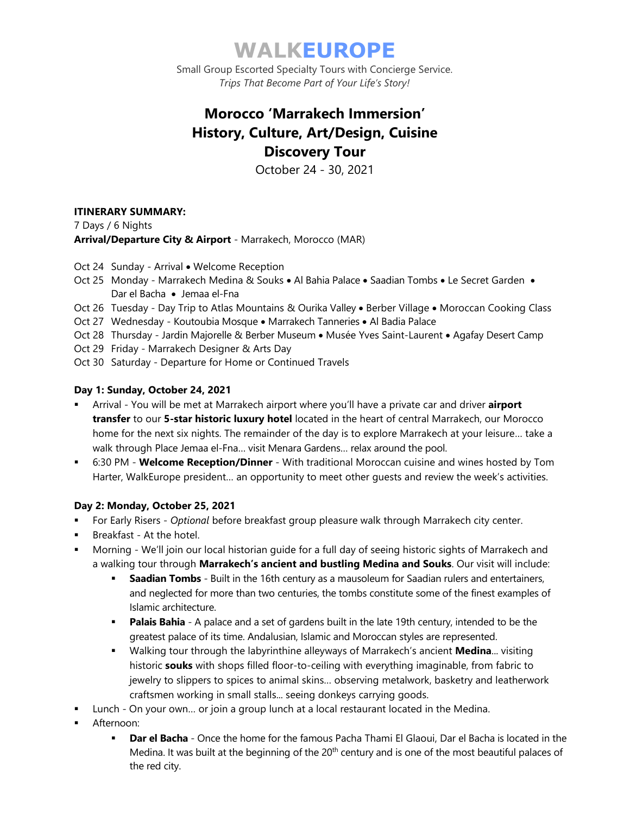# **WALKEUROPE**

Small Group Escorted Specialty Tours with Concierge Service. *Trips That Become Part of Your Life's Story!*

## **Morocco 'Marrakech Immersion' History, Culture, Art/Design, Cuisine Discovery Tour**

October 24 - 30, 2021

## **ITINERARY SUMMARY:**

7 Days / 6 Nights **Arrival/Departure City & Airport** - Marrakech, Morocco (MAR)

- Oct 24 Sunday Arrival Welcome Reception
- Oct 25 Monday Marrakech Medina & Souks Al Bahia Palace Saadian Tombs Le Secret Garden Dar el Bacha • Jemaa el-Fna
- Oct 26 Tuesday Day Trip to Atlas Mountains & Ourika Valley Berber Village Moroccan Cooking Class
- Oct 27 Wednesday Koutoubia Mosque Marrakech Tanneries Al Badia Palace
- Oct 28 Thursday Jardin Majorelle & Berber Museum Musée Yves Saint-Laurent Agafay Desert Camp
- Oct 29 Friday Marrakech Designer & Arts Day
- Oct 30 Saturday Departure for Home or Continued Travels

### **Day 1: Sunday, October 24, 2021**

- Arrival You will be met at Marrakech airport where you'll have a private car and driver **airport transfer** to our **5-star historic luxury hotel** located in the heart of central Marrakech, our Morocco home for the next six nights. The remainder of the day is to explore Marrakech at your leisure… take a walk through Place Jemaa el-Fna… visit Menara Gardens… relax around the pool.
- 6:30 PM **Welcome Reception/Dinner** With traditional Moroccan cuisine and wines hosted by Tom Harter, WalkEurope president… an opportunity to meet other guests and review the week's activities.

### **Day 2: Monday, October 25, 2021**

- For Early Risers *Optional* before breakfast group pleasure walk through Marrakech city center.
- Breakfast At the hotel.
- Morning We'll join our local historian guide for a full day of seeing historic sights of Marrakech and a walking tour through **Marrakech's ancient and bustling Medina and Souks**. Our visit will include:
	- **Example 16th Saadian Tombs** Built in the 16th century as a mausoleum for Saadian rulers and entertainers, and neglected for more than two centuries, the tombs constitute some of the finest examples of Islamic architecture.
	- **Palais Bahia** A palace and a set of gardens built in the late 19th century, intended to be the greatest palace of its time. Andalusian, Islamic and Moroccan styles are represented.
	- Walking tour through the labyrinthine alleyways of Marrakech's ancient **Medina**... visiting historic **souks** with shops filled floor-to-ceiling with everything imaginable, from fabric to jewelry to slippers to spices to animal skins… observing metalwork, basketry and leatherwork craftsmen working in small stalls... seeing donkeys carrying goods.
- Lunch On your own... or join a group lunch at a local restaurant located in the Medina.
- Afternoon:
	- **Dar el Bacha** Once the home for the famous Pacha Thami El Glaoui, Dar el Bacha is located in the Medina. It was built at the beginning of the 20<sup>th</sup> century and is one of the most beautiful palaces of the red city.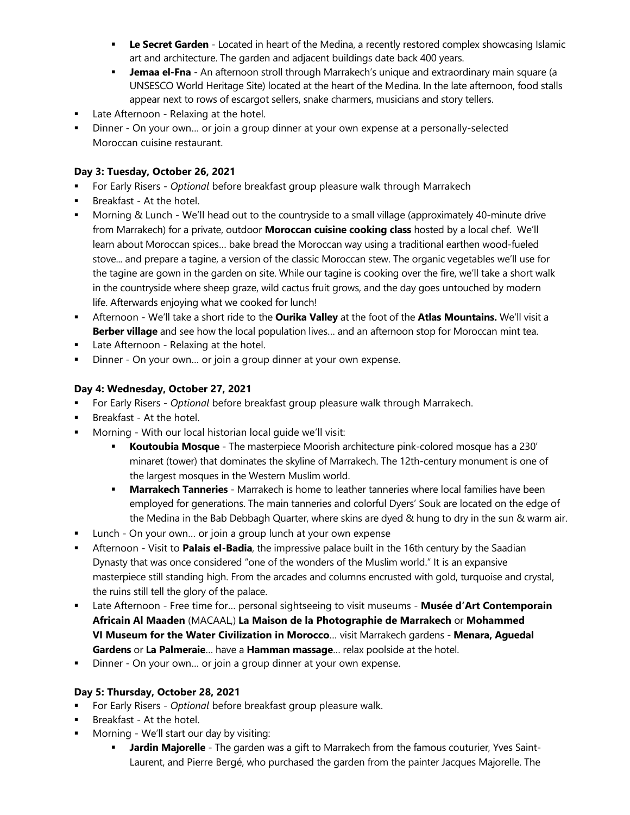- **Le Secret Garden** Located in heart of the Medina, a recently restored complex showcasing Islamic art and architecture. The garden and adjacent buildings date back 400 years.
- **Jemaa el-Fna** An afternoon stroll through Marrakech's unique and extraordinary main square (a UNSESCO World Heritage Site) located at the heart of the Medina. In the late afternoon, food stalls appear next to rows of escargot sellers, snake charmers, musicians and story tellers.
- Late Afternoon Relaxing at the hotel.
- Dinner On your own… or join a group dinner at your own expense at a personally-selected Moroccan cuisine restaurant.

## **Day 3: Tuesday, October 26, 2021**

- For Early Risers *Optional* before breakfast group pleasure walk through Marrakech
- Breakfast At the hotel.
- Morning & Lunch We'll head out to the countryside to a small village (approximately 40-minute drive from Marrakech) for a private, outdoor **Moroccan cuisine cooking class** hosted by a local chef. We'll learn about Moroccan spices… bake bread the Moroccan way using a traditional earthen wood-fueled stove... and prepare a tagine, a version of the classic Moroccan stew. The organic vegetables we'll use for the tagine are gown in the garden on site. While our tagine is cooking over the fire, we'll take a short walk in the countryside where sheep graze, wild cactus fruit grows, and the day goes untouched by modern life. Afterwards enjoying what we cooked for lunch!
- Afternoon We'll take a short ride to the **Ourika Valley** at the foot of the **Atlas Mountains.** We'll visit a **Berber village** and see how the local population lives… and an afternoon stop for Moroccan mint tea.
- **■** Late Afternoon Relaxing at the hotel.
- Dinner On your own... or join a group dinner at your own expense.

## **Day 4: Wednesday, October 27, 2021**

- For Early Risers *Optional* before breakfast group pleasure walk through Marrakech.
- **■** Breakfast At the hotel.
- Morning With our local historian local guide we'll visit:
	- **Koutoubia Mosque** The masterpiece Moorish architecture pink-colored mosque has a 230' minaret (tower) that dominates the skyline of Marrakech. The 12th-century monument is one of the largest mosques in the Western Muslim world.
	- **Marrakech Tanneries** Marrakech is home to leather tanneries where local families have been employed for generations. The main tanneries and colorful Dyers' Souk are located on the edge of the Medina in the Bab Debbagh Quarter, where skins are dyed & hung to dry in the sun & warm air.
- Lunch On your own... or join a group lunch at your own expense
- **EXTER Afternoon Visit to Palais el-Badia**, the impressive palace built in the 16th century by the Saadian Dynasty that was once considered "one of the wonders of the Muslim world." It is an expansive masterpiece still standing high. From the arcades and columns encrusted with gold, turquoise and crystal, the ruins still tell the glory of the palace.
- Late Afternoon Free time for... personal sightseeing to visit museums Musée d'Art Contemporain **Africain Al Maaden** (MACAAL,) **La Maison de la Photographie de Marrakech** or **Mohammed VI Museum for the Water Civilization in Morocco**… visit Marrakech gardens - **Menara, Aguedal Gardens** or **La Palmeraie**… have a **Hamman massage**… relax poolside at the hotel.
- Dinner On your own... or join a group dinner at your own expense.

### **Day 5: Thursday, October 28, 2021**

- For Early Risers *Optional* before breakfast group pleasure walk.
- **■** Breakfast At the hotel.
- Morning We'll start our day by visiting:
	- **EXTE: Jardin Majorelle** The garden was a gift to Marrakech from the famous couturier, Yves Saint-Laurent, and Pierre Bergé, who purchased the garden from the painter Jacques Majorelle. The